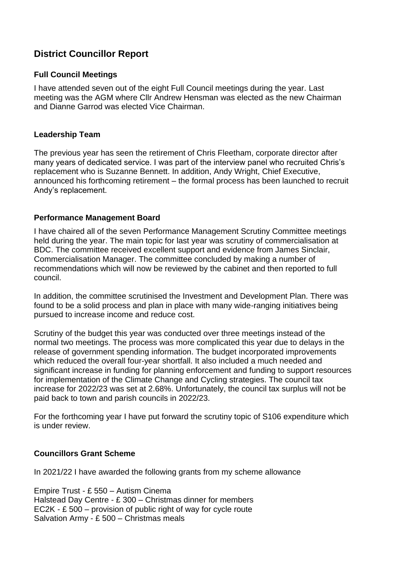# **District Councillor Report**

## **Full Council Meetings**

I have attended seven out of the eight Full Council meetings during the year. Last meeting was the AGM where Cllr Andrew Hensman was elected as the new Chairman and Dianne Garrod was elected Vice Chairman.

## **Leadership Team**

The previous year has seen the retirement of Chris Fleetham, corporate director after many years of dedicated service. I was part of the interview panel who recruited Chris's replacement who is Suzanne Bennett. In addition, Andy Wright, Chief Executive, announced his forthcoming retirement – the formal process has been launched to recruit Andy's replacement.

### **Performance Management Board**

I have chaired all of the seven Performance Management Scrutiny Committee meetings held during the year. The main topic for last year was scrutiny of commercialisation at BDC. The committee received excellent support and evidence from James Sinclair, Commercialisation Manager. The committee concluded by making a number of recommendations which will now be reviewed by the cabinet and then reported to full council.

In addition, the committee scrutinised the Investment and Development Plan. There was found to be a solid process and plan in place with many wide-ranging initiatives being pursued to increase income and reduce cost.

Scrutiny of the budget this year was conducted over three meetings instead of the normal two meetings. The process was more complicated this year due to delays in the release of government spending information. The budget incorporated improvements which reduced the overall four-year shortfall. It also included a much needed and significant increase in funding for planning enforcement and funding to support resources for implementation of the Climate Change and Cycling strategies. The council tax increase for 2022/23 was set at 2.68%. Unfortunately, the council tax surplus will not be paid back to town and parish councils in 2022/23.

For the forthcoming year I have put forward the scrutiny topic of S106 expenditure which is under review.

## **Councillors Grant Scheme**

In 2021/22 I have awarded the following grants from my scheme allowance

Empire Trust - £ 550 – Autism Cinema Halstead Day Centre - £ 300 – Christmas dinner for members EC2K - £ 500 – provision of public right of way for cycle route Salvation Army - £ 500 – Christmas meals